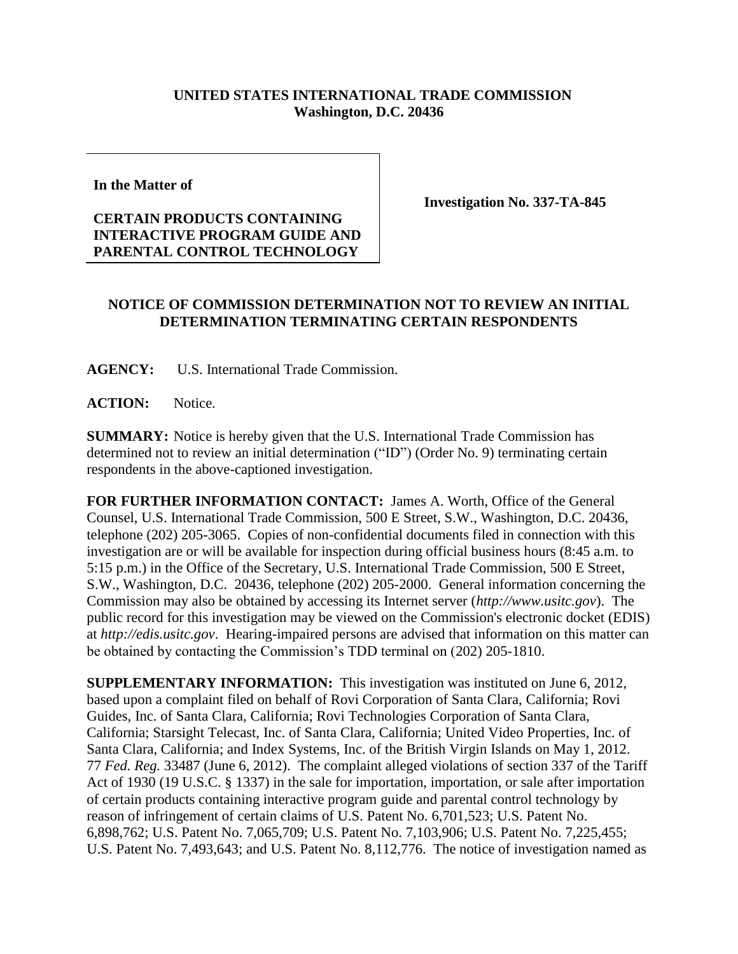## **UNITED STATES INTERNATIONAL TRADE COMMISSION Washington, D.C. 20436**

**In the Matter of**

## **CERTAIN PRODUCTS CONTAINING INTERACTIVE PROGRAM GUIDE AND PARENTAL CONTROL TECHNOLOGY**

**Investigation No. 337-TA-845**

## **NOTICE OF COMMISSION DETERMINATION NOT TO REVIEW AN INITIAL DETERMINATION TERMINATING CERTAIN RESPONDENTS**

**AGENCY:** U.S. International Trade Commission.

**ACTION:** Notice.

**SUMMARY:** Notice is hereby given that the U.S. International Trade Commission has determined not to review an initial determination ("ID") (Order No. 9) terminating certain respondents in the above-captioned investigation.

**FOR FURTHER INFORMATION CONTACT:** James A. Worth, Office of the General Counsel, U.S. International Trade Commission, 500 E Street, S.W., Washington, D.C. 20436, telephone (202) 205-3065. Copies of non-confidential documents filed in connection with this investigation are or will be available for inspection during official business hours (8:45 a.m. to 5:15 p.m.) in the Office of the Secretary, U.S. International Trade Commission, 500 E Street, S.W., Washington, D.C. 20436, telephone (202) 205-2000. General information concerning the Commission may also be obtained by accessing its Internet server (*http://www.usitc.gov*). The public record for this investigation may be viewed on the Commission's electronic docket (EDIS) at *http://edis.usitc.gov*. Hearing-impaired persons are advised that information on this matter can be obtained by contacting the Commission's TDD terminal on (202) 205-1810.

**SUPPLEMENTARY INFORMATION:** This investigation was instituted on June 6, 2012, based upon a complaint filed on behalf of Rovi Corporation of Santa Clara, California; Rovi Guides, Inc. of Santa Clara, California; Rovi Technologies Corporation of Santa Clara, California; Starsight Telecast, Inc. of Santa Clara, California; United Video Properties, Inc. of Santa Clara, California; and Index Systems, Inc. of the British Virgin Islands on May 1, 2012. 77 *Fed. Reg.* 33487 (June 6, 2012). The complaint alleged violations of section 337 of the Tariff Act of 1930 (19 U.S.C. § 1337) in the sale for importation, importation, or sale after importation of certain products containing interactive program guide and parental control technology by reason of infringement of certain claims of U.S. Patent No. 6,701,523; U.S. Patent No. 6,898,762; U.S. Patent No. 7,065,709; U.S. Patent No. 7,103,906; U.S. Patent No. 7,225,455; U.S. Patent No. 7,493,643; and U.S. Patent No. 8,112,776. The notice of investigation named as